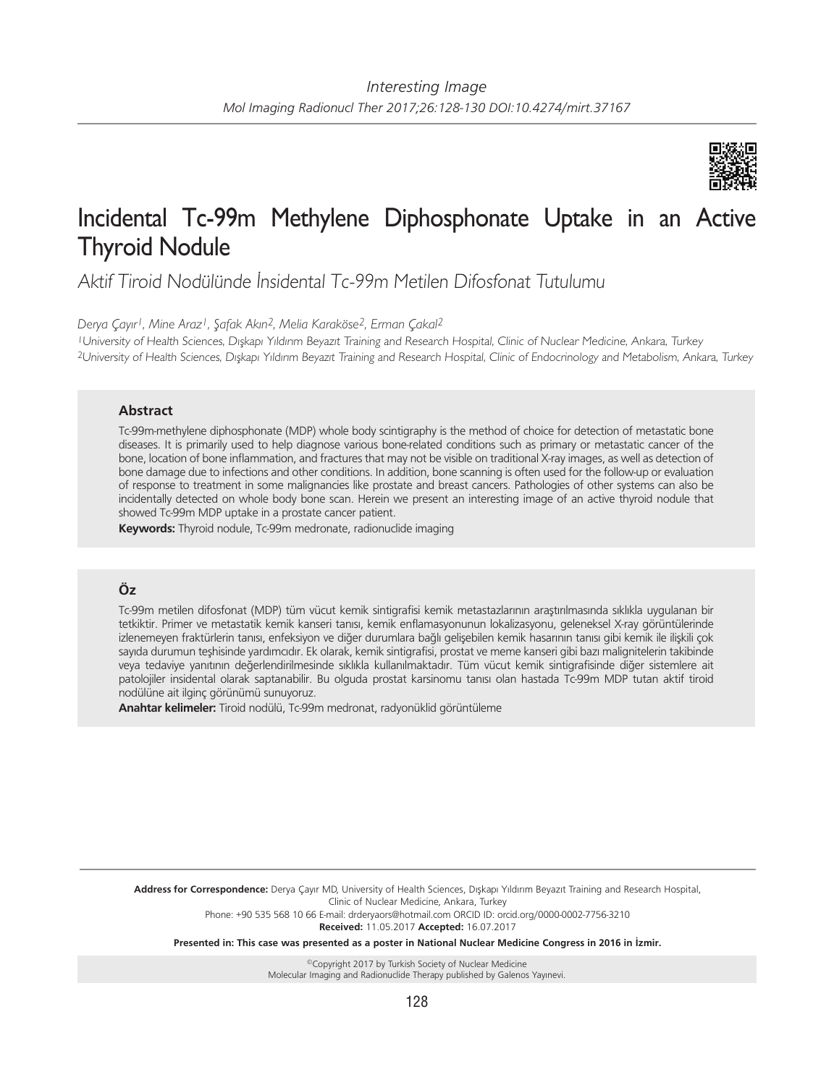

# Incidental Tc-99m Methylene Diphosphonate Uptake in an Active Thyroid Nodule

Aktif Tiroid Nodülünde İnsidental Tc-99m Metilen Difosfonat Tutulumu

*Derya Çayır1, Mine Araz1, Şafak Akın2, Melia Karaköse2, Erman Çakal2*

<sup>1</sup>University of Health Sciences, Dışkapı Yıldırım Beyazıt Training and Research Hospital, Clinic of Nuclear Medicine, Ankara, Turkey <sup>2</sup>University of Health Sciences, Dışkapı Yıldırım Beyazıt Training and Research Hospital, Clinic of Endocrinology and Metabolism, Ankara, Turkey

## **Abstract**

Tc-99m-methylene diphosphonate (MDP) whole body scintigraphy is the method of choice for detection of metastatic bone diseases. It is primarily used to help diagnose various bone-related conditions such as primary or metastatic cancer of the bone, location of bone inflammation, and fractures that may not be visible on traditional X-ray images, as well as detection of bone damage due to infections and other conditions. In addition, bone scanning is often used for the follow-up or evaluation of response to treatment in some malignancies like prostate and breast cancers. Pathologies of other systems can also be incidentally detected on whole body bone scan. Herein we present an interesting image of an active thyroid nodule that showed Tc-99m MDP uptake in a prostate cancer patient.

**Keywords:** Thyroid nodule, Tc-99m medronate, radionuclide imaging

## **Öz**

Tc-99m metilen difosfonat (MDP) tüm vücut kemik sintigrafisi kemik metastazlarının araştırılmasında sıklıkla uygulanan bir tetkiktir. Primer ve metastatik kemik kanseri tanısı, kemik enflamasyonunun lokalizasyonu, geleneksel X-ray görüntülerinde izlenemeyen fraktürlerin tanısı, enfeksiyon ve diğer durumlara bağlı gelişebilen kemik hasarının tanısı gibi kemik ile ilişkili çok sayıda durumun teşhisinde yardımcıdır. Ek olarak, kemik sintigrafisi, prostat ve meme kanseri gibi bazı malignitelerin takibinde veya tedaviye yanıtının değerlendirilmesinde sıklıkla kullanılmaktadır. Tüm vücut kemik sintigrafisinde diğer sistemlere ait patolojiler insidental olarak saptanabilir. Bu olguda prostat karsinomu tanısı olan hastada Tc-99m MDP tutan aktif tiroid nodülüne ait ilginç görünümü sunuyoruz.

**Anahtar kelimeler:** Tiroid nodülü, Tc-99m medronat, radyonüklid görüntüleme

**Address for Correspondence:** Derya Çayır MD, University of Health Sciences, Dışkapı Yıldırım Beyazıt Training and Research Hospital, Clinic of Nuclear Medicine, Ankara, Turkey Phone: +90 535 568 10 66 E-mail: drderyaors@hotmail.com ORCID ID: orcid.org/0000-0002-7756-3210

**Received:** 11.05.2017 **Accepted:** 16.07.2017

**Presented in: This case was presented as a poster in National Nuclear Medicine Congress in 2016 in İzmir.**

©Copyright 2017 by Turkish Society of Nuclear Medicine Molecular Imaging and Radionuclide Therapy published by Galenos Yayınevi.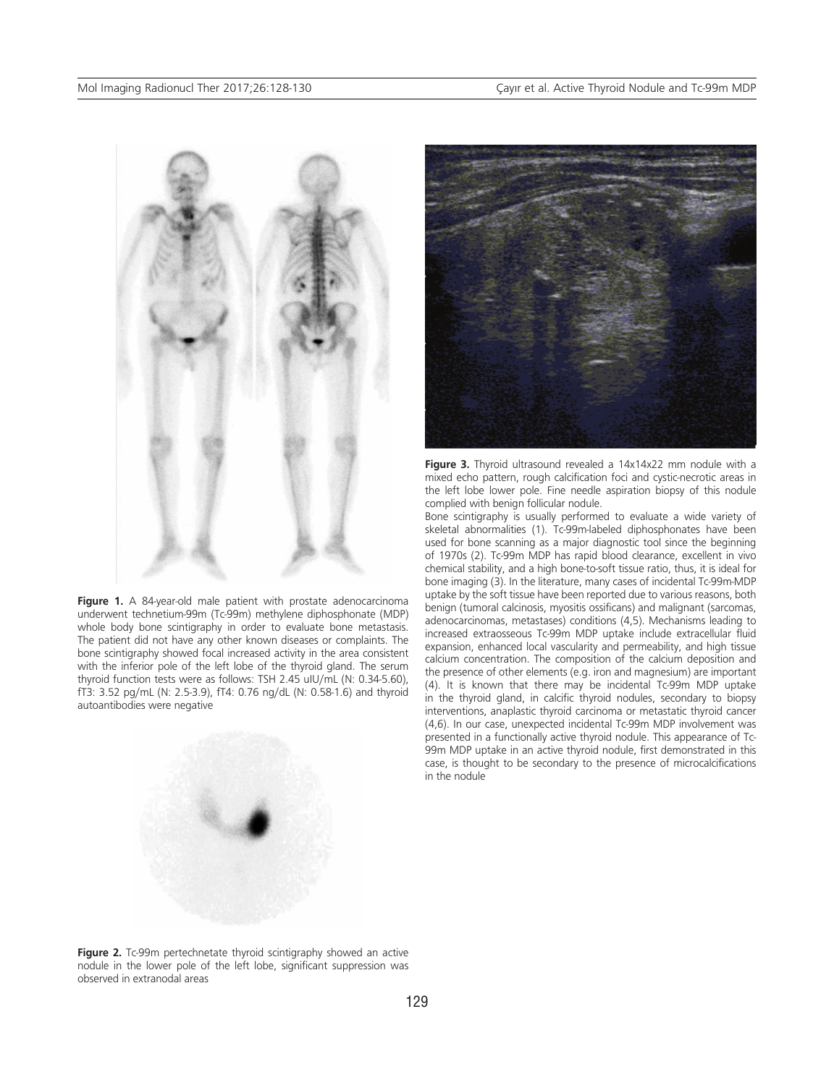

Figure 1. A 84-year-old male patient with prostate adenocarcinoma underwent technetium-99m (Tc-99m) methylene diphosphonate (MDP) whole body bone scintigraphy in order to evaluate bone metastasis. The patient did not have any other known diseases or complaints. The bone scintigraphy showed focal increased activity in the area consistent with the inferior pole of the left lobe of the thyroid gland. The serum thyroid function tests were as follows: TSH 2.45 uIU/mL (N: 0.34-5.60), fT3: 3.52 pg/mL (N: 2.5-3.9), fT4: 0.76 ng/dL (N: 0.58-1.6) and thyroid autoantibodies were negative





**Figure 3.** Thyroid ultrasound revealed a 14x14x22 mm nodule with a mixed echo pattern, rough calcification foci and cystic-necrotic areas in the left lobe lower pole. Fine needle aspiration biopsy of this nodule complied with benign follicular nodule.

Bone scintigraphy is usually performed to evaluate a wide variety of skeletal abnormalities (1). Tc-99m-labeled diphosphonates have been used for bone scanning as a major diagnostic tool since the beginning of 1970s (2). Tc-99m MDP has rapid blood clearance, excellent in vivo chemical stability, and a high bone-to-soft tissue ratio, thus, it is ideal for bone imaging (3). In the literature, many cases of incidental Tc-99m-MDP uptake by the soft tissue have been reported due to various reasons, both benign (tumoral calcinosis, myositis ossificans) and malignant (sarcomas, adenocarcinomas, metastases) conditions (4,5). Mechanisms leading to increased extraosseous Tc-99m MDP uptake include extracellular fluid expansion, enhanced local vascularity and permeability, and high tissue calcium concentration. The composition of the calcium deposition and the presence of other elements (e.g. iron and magnesium) are important (4). It is known that there may be incidental Tc-99m MDP uptake in the thyroid gland, in calcific thyroid nodules, secondary to biopsy interventions, anaplastic thyroid carcinoma or metastatic thyroid cancer (4,6). In our case, unexpected incidental Tc-99m MDP involvement was presented in a functionally active thyroid nodule. This appearance of Tc-99m MDP uptake in an active thyroid nodule, first demonstrated in this case, is thought to be secondary to the presence of microcalcifications in the nodule

Figure 2. Tc-99m pertechnetate thyroid scintigraphy showed an active nodule in the lower pole of the left lobe, significant suppression was observed in extranodal areas